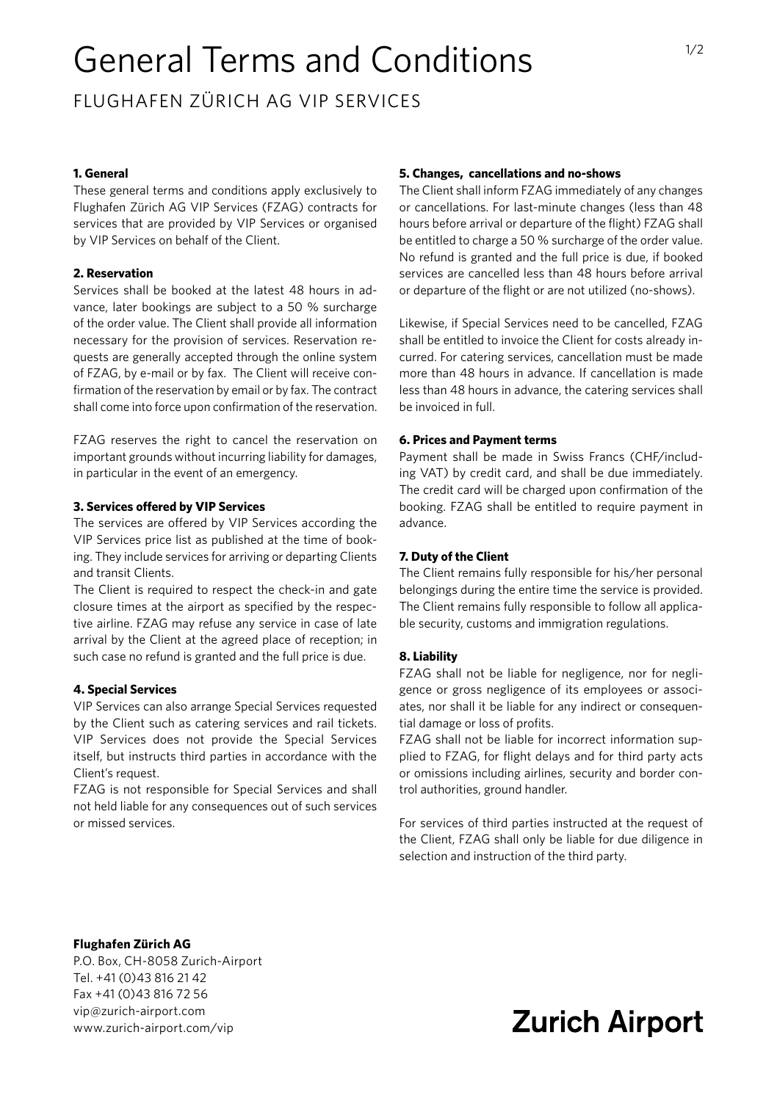# General Terms and Conditions

FLUGHAFEN ZÜRICH AG VIP SERVICES

## **1. General**

These general terms and conditions apply exclusively to Flughafen Zürich AG VIP Services (FZAG) contracts for services that are provided by VIP Services or organised by VIP Services on behalf of the Client.

#### **2. Reservation**

Services shall be booked at the latest 48 hours in advance, later bookings are subject to a 50 % surcharge of the order value. The Client shall provide all information necessary for the provision of services. Reservation requests are generally accepted through the online system of FZAG, by e-mail or by fax. The Client will receive confirmation of the reservation by email or by fax. The contract shall come into force upon confirmation of the reservation.

FZAG reserves the right to cancel the reservation on important grounds without incurring liability for damages, in particular in the event of an emergency.

#### **3. Services offered by VIP Services**

The services are offered by VIP Services according the VIP Services price list as published at the time of booking. They include services for arriving or departing Clients and transit Clients.

The Client is required to respect the check-in and gate closure times at the airport as specified by the respective airline. FZAG may refuse any service in case of late arrival by the Client at the agreed place of reception; in such case no refund is granted and the full price is due.

#### **4. Special Services**

VIP Services can also arrange Special Services requested by the Client such as catering services and rail tickets. VIP Services does not provide the Special Services itself, but instructs third parties in accordance with the Client's request.

FZAG is not responsible for Special Services and shall not held liable for any consequences out of such services or missed services.

## **5. Changes, cancellations and no-shows**

The Client shall inform FZAG immediately of any changes or cancellations. For last-minute changes (less than 48 hours before arrival or departure of the flight) FZAG shall be entitled to charge a 50 % surcharge of the order value. No refund is granted and the full price is due, if booked services are cancelled less than 48 hours before arrival or departure of the flight or are not utilized (no-shows).

Likewise, if Special Services need to be cancelled, FZAG shall be entitled to invoice the Client for costs already incurred. For catering services, cancellation must be made more than 48 hours in advance. If cancellation is made less than 48 hours in advance, the catering services shall be invoiced in full.

#### **6. Prices and Payment terms**

Payment shall be made in Swiss Francs (CHF/including VAT) by credit card, and shall be due immediately. The credit card will be charged upon confirmation of the booking. FZAG shall be entitled to require payment in advance.

#### **7. Duty of the Client**

The Client remains fully responsible for his/her personal belongings during the entire time the service is provided. The Client remains fully responsible to follow all applicable security, customs and immigration regulations.

#### **8. Liability**

FZAG shall not be liable for negligence, nor for negligence or gross negligence of its employees or associates, nor shall it be liable for any indirect or consequential damage or loss of profits.

FZAG shall not be liable for incorrect information supplied to FZAG, for flight delays and for third party acts or omissions including airlines, security and border control authorities, ground handler.

For services of third parties instructed at the request of the Client, FZAG shall only be liable for due diligence in selection and instruction of the third party.

#### **Flughafen Zürich AG**

P.O. Box, CH-8058 Zurich-Airport Tel. +41 (0)43 816 21 42 Fax +41 (0)43 816 72 56 [vip@zurich-airport.com](mailto:vip%40zurich-airport.com%20?subject=) [www.zurich-airport.com/vip](https://www.zurich-airport.com/vip)

## **Zurich Airport**